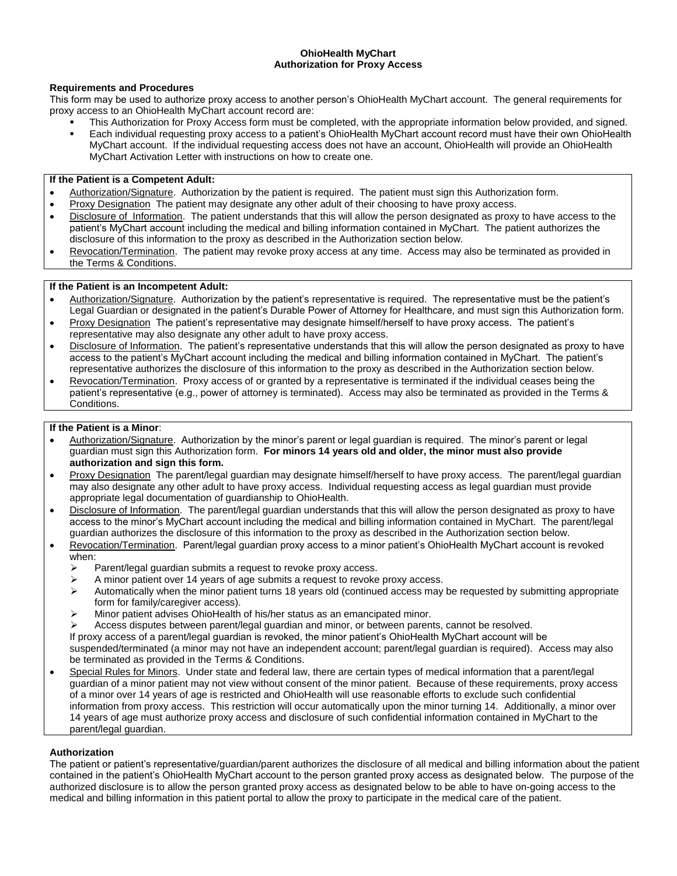### **OhioHealth MyChart Authorization for Proxy Access**

### **Requirements and Procedures**

This form may be used to authorize proxy access to another person's OhioHealth MyChart account. The general requirements for proxy access to an OhioHealth MyChart account record are:

- This Authorization for Proxy Access form must be completed, with the appropriate information below provided, and signed. Each individual requesting proxy access to a patient's OhioHealth MyChart account record must have their own OhioHealth
- MyChart account. If the individual requesting access does not have an account, OhioHealth will provide an OhioHealth MyChart Activation Letter with instructions on how to create one.

### **If the Patient is a Competent Adult:**

- Authorization/Signature. Authorization by the patient is required. The patient must sign this Authorization form.
- Proxy Designation The patient may designate any other adult of their choosing to have proxy access.
- Disclosure of Information. The patient understands that this will allow the person designated as proxy to have access to the patient's MyChart account including the medical and billing information contained in MyChart. The patient authorizes the disclosure of this information to the proxy as described in the Authorization section below.
- Revocation/Termination. The patient may revoke proxy access at any time. Access may also be terminated as provided in the Terms & Conditions.

## **If the Patient is an Incompetent Adult:**

- Authorization/Signature. Authorization by the patient's representative is required. The representative must be the patient's Legal Guardian or designated in the patient's Durable Power of Attorney for Healthcare, and must sign this Authorization form.
- Proxy Designation The patient's representative may designate himself/herself to have proxy access. The patient's representative may also designate any other adult to have proxy access.
- . Disclosure of Information. The patient's representative understands that this will allow the person designated as proxy to have access to the patient's MyChart account including the medical and billing information contained in MyChart. The patient's representative authorizes the disclosure of this information to the proxy as described in the Authorization section below.
- Revocation/Termination. Proxy access of or granted by a representative is terminated if the individual ceases being the patient's representative (e.g., power of attorney is terminated). Access may also be terminated as provided in the Terms & Conditions.

### **If the Patient is a Minor**:

- Authorization/Signature. Authorization by the minor's parent or legal guardian is required. The minor's parent or legal guardian must sign this Authorization form. **For minors 14 years old and older, the minor must also provide authorization and sign this form.**
- Proxy Designation The parent/legal guardian may designate himself/herself to have proxy access. The parent/legal guardian may also designate any other adult to have proxy access. Individual requesting access as legal guardian must provide appropriate legal documentation of guardianship to OhioHealth.
- Disclosure of Information. The parent/legal guardian understands that this will allow the person designated as proxy to have access to the minor's MyChart account including the medical and billing information contained in MyChart. The parent/legal guardian authorizes the disclosure of this information to the proxy as described in the Authorization section below.
- Revocation/Termination. Parent/legal guardian proxy access to a minor patient's OhioHealth MyChart account is revoked when:
	- $\triangleright$  Parent/legal guardian submits a request to revoke proxy access.
	- A minor patient over 14 years of age submits a request to revoke proxy access.<br>Automatically when the minor patient turns 18 years old (continued access may
	- Automatically when the minor patient turns 18 years old (continued access may be requested by submitting appropriate form for family/caregiver access).
	- $\triangleright$  Minor patient advises OhioHealth of his/her status as an emancipated minor.
	- Access disputes between parent/legal guardian and minor, or between parents, cannot be resolved.

If proxy access of a parent/legal guardian is revoked, the minor patient's OhioHealth MyChart account will be

suspended/terminated (a minor may not have an independent account; parent/legal guardian is required). Access may also be terminated as provided in the Terms & Conditions.

 Special Rules for Minors. Under state and federal law, there are certain types of medical information that a parent/legal guardian of a minor patient may not view without consent of the minor patient. Because of these requirements, proxy access of a minor over 14 years of age is restricted and OhioHealth will use reasonable efforts to exclude such confidential information from proxy access. This restriction will occur automatically upon the minor turning 14. Additionally, a minor over 14 years of age must authorize proxy access and disclosure of such confidential information contained in MyChart to the parent/legal guardian.

### **Authorization**

The patient or patient's representative/guardian/parent authorizes the disclosure of all medical and billing information about the patient contained in the patient's OhioHealth MyChart account to the person granted proxy access as designated below. The purpose of the authorized disclosure is to allow the person granted proxy access as designated below to be able to have on-going access to the medical and billing information in this patient portal to allow the proxy to participate in the medical care of the patient.